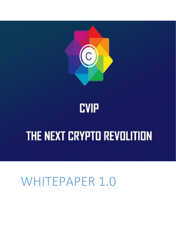# WHITEPAPER 1.0

# THE NEXT CRYPTO REVOLITION



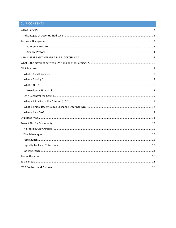#### **CVIP CONTENTS**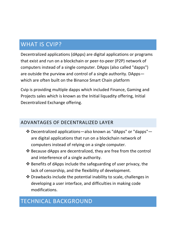## <span id="page-2-0"></span>WHAT IS CVIP?

Decentralized applications (dApps) are digital applications or programs that exist and run on a blockchain or peer-to-peer (P2P) network of computers instead of a single computer. DApps (also called "dapps") are outside the purview and control of a single authority. DApps which are often built on the Binance Smart Chain platform

Cvip is providing multiple dapps which included Finance, Gaming and Projects sales which is known as the Initial liquadity offering, Initial Decentralized Exchange offering.

## <span id="page-2-1"></span>ADVANTAGES OF DECENTRALIZED LAYER

- Decentralized applications—also known as "dApps" or "dapps" are digital applications that run on a blockchain network of computers instead of relying on a single computer.
- Because dApps are decentralized, they are free from the control and interference of a single authority.
- $\triangle$  Benefits of dApps include the safeguarding of user privacy, the lack of censorship, and the flexibility of development.
- Drawbacks include the potential inability to scale, challenges in developing a user interface, and difficulties in making code modifications.

## <span id="page-2-2"></span>TECHNICAL BACKGROUND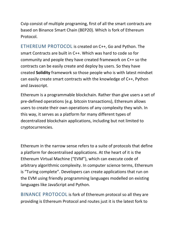Cvip consist of multiple programing, first of all the smart contracts are based on Binance Smart Chain (BEP20). Which is fork of Ethereum Protocol.

<span id="page-3-0"></span>ETHEREUM PROTOCOL is created on C++, Go and Python. The smart Contracts are built in C++. Which was hard to code so for community and people they have created framework on C++ so the contracts can be easily create and deploy by users. So they have created **Solidity** framework so those people who is with latest mindset can easily create smart contracts with the knowledge of C++, Python and Javascript.

Ethereum is a programmable blockchain. Rather than give users a set of pre-defined operations (e.g. bitcoin transactions), Ethereum allows users to create their own operations of any complexity they wish. In this way, it serves as a platform for many different types of decentralized blockchain applications, including but not limited to cryptocurrencies.

Ethereum in the narrow sense refers to a suite of protocols that define a platform for decentralised applications. At the heart of it is the Ethereum Virtual Machine ("EVM"), which can execute code of arbitrary algorithmic complexity. In computer science terms, Ethereum is "Turing complete". Developers can create applications that run on the EVM using friendly programming languages modelled on existing languages like JavaScript and Python.

<span id="page-3-1"></span>BINANCE PROTOCOL is fork of Ethereum protocol so all they are providing is Ethereum Protocol and routes just it is the latest fork to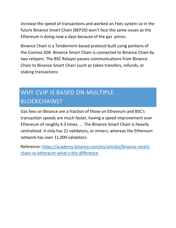increase the speed of transactions and worked on Fees system so in the future Binance Smart Chain (BEP20) won't face the same issues as the Ethereum is doing now a days because of the gas prices.

Binance Chain is a Tendermint‐based protocol built using portions of the Cosmos SDK. Binance Smart Chain is connected to Binance Chain by two relayers. The BSC Relayer passes communications from Binance Chain to Binance Smart Chain (such as token transfers, refunds, or staking transactions

# <span id="page-4-0"></span>WHY CVIP IS BASED ON MULTIPLE BLOCKCHAINS?

Gas fees on Binance are a fraction of those on Ethereum and BSC's transaction speeds are much faster, having a speed improvement over Ethereum of roughly 4.3 times. ... The Binance Smart Chain is heavily centralised. It only has 21 validators, or miners, whereas the Ethereum network has over 11,000 validators.

Reference: [https://academy.binance.com/en/articles/binance-smart](https://academy.binance.com/en/articles/binance-smart-chain-vs-ethereum-what-s-the-difference)[chain-vs-ethereum-what-s-the-difference](https://academy.binance.com/en/articles/binance-smart-chain-vs-ethereum-what-s-the-difference)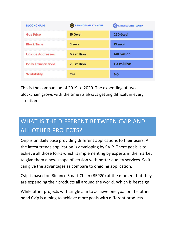| <b>BLOCKCHAIN</b>         | <b>BINANCE SMART CHAIN</b> | <b>ETHEREUM NETWORK</b> |
|---------------------------|----------------------------|-------------------------|
| <b>Gas Price</b>          | 16 Gwei                    | 260 Gwei                |
| <b>Block Time</b>         | 3 secs                     | 13 secs                 |
| <b>Unique Addresses</b>   | 5.2 million                | 140 million             |
| <b>Daily Transactions</b> | 2.6 million                | 1.3 million             |
| <b>Scalability</b>        | <b>Yes</b>                 | Nο                      |

This is the comparison of 2019 to 2020. The expending of two blockchain grows with the time its always getting difficult in every situation.

# <span id="page-5-0"></span>WHAT IS THE DIFFERENT BETWEEN CVIP AND ALL OTHER PROJECTS?

Cvip is on daily base providing different applications to their users. All the latest trends application is developing by CVIP. There goals is to achieve all those forks which is implementing by experts in the market to give them a new shape of version with better quality services. So it can give the advantages as compare to ongoing application.

Cvip is based on Binance Smart Chain (BEP20) at the moment but they are expending their products all around the world. Which is best sign.

While other projects with single aim to achieve one goal on the other hand Cvip is aiming to achieve more goals with different products.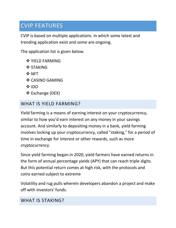## <span id="page-6-0"></span>CVIP FEATURES

CVIP is based on multiple applications. In which some latest and trending application exist and some are ongoing.

The application list is given below.

- ❖ YIELD FARMING
- **❖ STAKING**
- **☆ NFT**
- ❖ CASINO GAMING
- **☆IDO**
- Exchange (DEX)

## <span id="page-6-1"></span>WHAT IS YIELD FARMING?

Yield farming is a means of earning interest on your cryptocurrency, similar to how you'd earn interest on any money in your savings account. And similarly to depositing money in a bank, yield farming involves locking up your cryptocurrency, called "staking," for a period of time in exchange for interest or other rewards, such as more cryptocurrency.

Since yield farming began in 2020, yield farmers have earned returns in the form of annual percentage yields (APY) that can reach triple digits. But this potential return comes at high risk, with the protocols and coins earned subject to extreme

Volatility and rug pulls wherein developers abandon a project and make off with investors' funds.

#### <span id="page-6-2"></span>WHAT IS STAKING?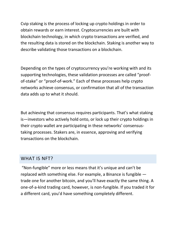Cvip staking is the process of locking up crypto holdings in order to obtain rewards or earn interest. Cryptocurrencies are built with blockchain technology, in which crypto transactions are verified, and the resulting data is stored on the blockchain. Staking is another way to describe validating those transactions on a blockchain.

Depending on the types of cryptocurrency you're working with and its supporting technologies, these validation processes are called "proofof-stake" or "proof-of-work." Each of these processes help crypto networks achieve consensus, or confirmation that all of the transaction data adds up to what it should.

But achieving that consensus requires participants. That's what staking is—investors who actively hold onto, or lock up their crypto holdings in their crypto wallet are participating in these networks' consensustaking processes. Stakers are, in essence, approving and verifying transactions on the blockchain.

#### <span id="page-7-0"></span>WHAT IS NFT?

"Non-fungible" more or less means that it's unique and can't be replaced with something else. For example, a Binance is fungible trade one for another bitcoin, and you'll have exactly the same thing. A one-of-a-kind trading card, however, is non-fungible. If you traded it for a different card, you'd have something completely different.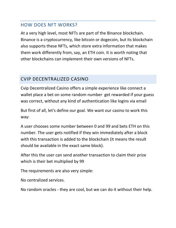## <span id="page-8-0"></span>HOW DOES NFT WORKS?

At a very high level, most NFTs are part of the Binance blockchain. Binance is a cryptocurrency, like bitcoin or dogecoin, but its blockchain also supports these NFTs, which store extra information that makes them work differently from, say, an ETH coin. It is worth noting that other blockchains can implement their own versions of NFTs.

## <span id="page-8-1"></span>CVIP DECENTRALIZED CASINO

Cvip Decentralized Casino offers a simple experience like connect a wallet place a bet on some random number get rewarded if your guess was correct, without any kind of authentication like logins via email

But first of all, let's define our goal. We want our casino to work this way:

A user chooses some number between 0 and 99 and bets ETH on this number. The user gets notified if they win immediately after a block with this transaction is added to the blockchain (it means the result should be available in the exact same block).

After this the user can send another transaction to claim their prize which is their bet multiplied by 99

The requirements are also very simple:

No centralized services.

No random oracles - they are cool, but we can do it without their help.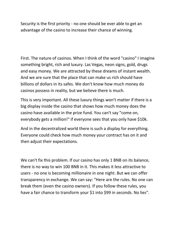Security is the first priority - no one should be ever able to get an advantage of the casino to increase their chance of winning.

First. The nature of casinos. When I think of the word "casino" I imagine something bright, rich and luxury. Las Vegas, neon signs, gold, drugs and easy money. We are attracted by these dreams of instant wealth. And we are sure that the place that can make us rich should have billions of dollars in its safes. We don't know how much money do casinos possess in reality, but we believe there is much.

This is very important. All these luxury things won't matter if there is a big display inside the casino that shows how much money does the casino have available in the prize fund. You can't say "come on, everybody gets a million!" if everyone sees that you only have \$10k.

And in the decentralized world there is such a display for everything. Everyone could check how much money your contract has on it and then adjust their expectations.

We can't fix this problem. If our casino has only 1 BNB on its balance, there is no way to win 100 BNB in it. This makes it less attractive to users - no one is becoming millionaire in one night. But we can offer transparency in exchange. We can say: "Here are the rules. No one can break them (even the casino owners). If you follow these rules, you have a fair chance to transform your \$1 into \$99 in seconds. No lies".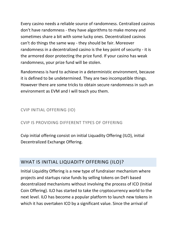Every casino needs a reliable source of randomness. Centralized casinos don't have randomness - they have algorithms to make money and sometimes share a bit with some lucky ones. Decentralized casinos can't do things the same way - they should be fair. Moreover randomness in a decentralized casino is the key point of security - it is the armored door protecting the prize fund. If your casino has weak randomness, your prize fund will be stolen.

Randomness is hard to achieve in a deterministic environment, because it is defined to be undetermined. They are two incompatible things. However there are some tricks to obtain secure randomness in such an environment as EVM and I will teach you them.

### CVIP INITIAL OFFERING (IO)

#### CVIP IS PROVIDING DIFFERENT TYPES OF OFFERING

Cvip initial offering consist on initial Liquadity Offering (ILO), initial Decentralized Exchange Offering.

## <span id="page-10-0"></span>WHAT IS INITIAL LIQUADITY OFFERING (ILO)?

Initial Liquidity Offering is a new type of fundraiser mechanism where projects and startups raise funds by selling tokens on DeFi based decentralized mechanisms without involving the process of ICO (Initial Coin Offering). ILO has started to take the cryptocurrency world to the next level. ILO has become a popular platform to launch new tokens in which it has overtaken ICO by a significant value. Since the arrival of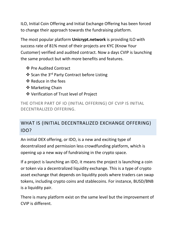ILO, Initial Coin Offering and Initial Exchange Offering has been forced to change their approach towards the fundraising platform.

The most popular platform **Unicrypt.network** is providing ILO with success rate of 81% most of their projects are KYC (Know Your Customer) verified and audited contract. Now a days CVIP is launching the same product but with more benefits and features.

- ❖ Pre Audited Contract
- ❖ Scan the 3<sup>rd</sup> Party Contract before Listing
- ❖ Reduce in the fees
- ❖ Marketing Chain
- Verification of Trust level of Project

THE OTHER PART OF IO (INITIAL OFFERING) OF CVIP IS INITIAL DECENTRALIZED OFFERING.

## <span id="page-11-0"></span>WHAT IS (INITIAL DECENTRALIZED EXCHANGE OFFERING) IDO?

An initial DEX offering, or IDO, is a new and exciting type of decentralized and permission less crowdfunding platform, which is opening up a new way of fundraising in the crypto space.

If a project is launching an IDO, it means the project is launching a coin or token via a decentralized liquidity exchange. This is a type of crypto asset exchange that depends on liquidity pools where traders can swap tokens, including crypto coins and stablecoins. For instance, BUSD/BNB is a liquidity pair.

There is many platform exist on the same level but the improvement of CVIP is different.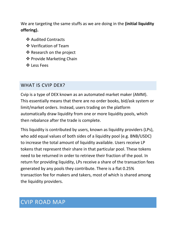We are targeting the same stuffs as we are doing in the **(initial liquidity offering).**

- ❖ Audited Contracts
- Verification of Team
- ❖ Research on the project
- ❖ Provide Marketing Chain
- $\cdot$  **Less Fees**

## <span id="page-12-0"></span>WHAT IS CVIP DEX?

Cvip is a type of DEX known as an automated market maker (AMM). This essentially means that there are no order books, bid/ask system or limit/market orders. Instead, users trading on the platform automatically draw liquidity from one or more liquidity pools, which then rebalance after the trade is complete.

This liquidity is contributed by users, known as liquidity providers (LPs), who add equal values of both sides of a liquidity pool (e.g. BNB/USDC) to increase the total amount of liquidity available. Users receive LP tokens that represent their share in that particular pool. These tokens need to be returned in order to retrieve their fraction of the pool. In return for providing liquidity, LPs receive a share of the transaction fees generated by any pools they contribute. There is a flat 0.25% transaction fee for makers and takers, most of which is shared among the liquidity providers.

## <span id="page-12-1"></span>CVIP ROAD MAP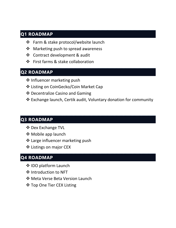## **Q1 ROADMAP**

- ❖ Farm & stake protocol/website launch
- $\triangleleft$  Marketing push to spread awareness
- Contract development & audit
- $\clubsuit$  First farms & stake collaboration

## **Q2 ROADMAP**

- ❖ Influencer marketing push
- Listing on CoinGecko/Coin Market Cap
- Decentralize Casino and Gaming
- Exchange launch, Certik audit, Voluntary donation for community

## **Q3 ROADMAP**

- **❖ Dex Exchange TVL**
- **❖** Mobile app launch
- **❖** Large influencer marketing push
- ❖ Listings on major CEX

## **Q4 ROADMAP**

- ❖ IDO platform Launch
- ❖ Introduction to NFT
- Meta Verse Beta Version Launch
- ❖ Top One Tier CEX Listing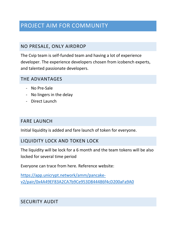## <span id="page-14-0"></span>PROJECT AIM FOR COMMUNITY

## <span id="page-14-1"></span>NO PRESALE, ONLY AIRDROP

The Cvip team is self-funded team and having a lot of experience developer. The experience developers chosen from icobench experts, and talented passionate developers.

### <span id="page-14-2"></span>THE ADVANTAGES

- No Pre-Sale
- No lingers in the delay
- Direct Launch

## <span id="page-14-3"></span>FARE LAUNCH

Initial liquidity is added and fare launch of token for everyone.

## <span id="page-14-4"></span>LIQUIDITY LOCK AND TOKEN LOCK

The liquidity will be lock for a 6 month and the team tokens will be also locked for several time period

Everyone can trace from here. Reference website:

[https://app.unicrypt.network/amm/pancake](https://app.unicrypt.network/amm/pancake-v2/pair/0x4A49EF83A2CA7b9Ce953D844486f4cD200aFa9A0)[v2/pair/0x4A49EF83A2CA7b9Ce953D844486f4cD200aFa9A0](https://app.unicrypt.network/amm/pancake-v2/pair/0x4A49EF83A2CA7b9Ce953D844486f4cD200aFa9A0)

## <span id="page-14-5"></span>SECURITY AUDIT